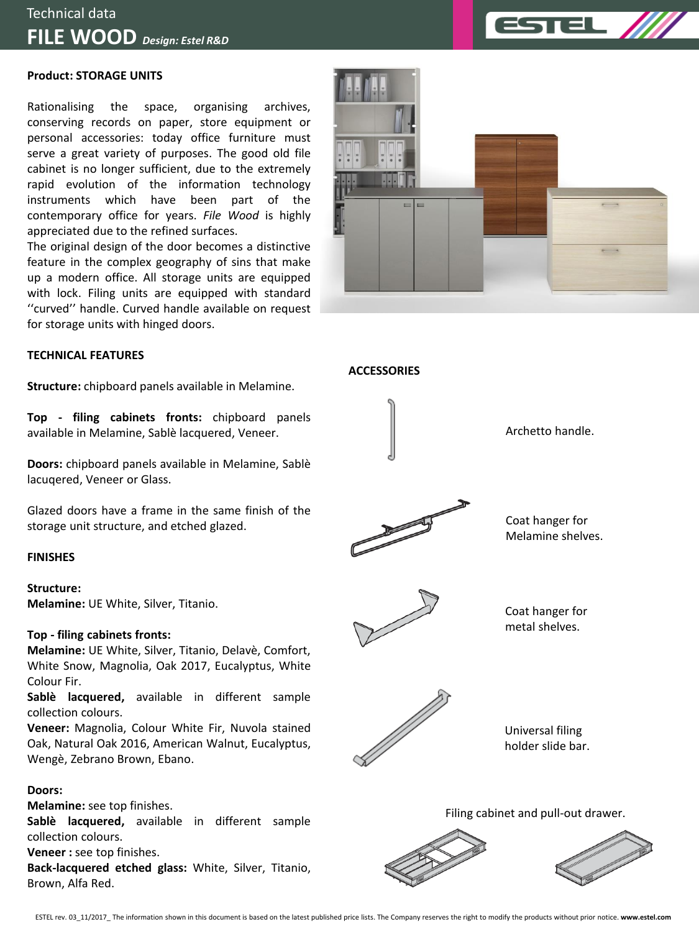

## Technical data **FILE WOOD** *Design: Estel R&D*

#### **Product: STORAGE UNITS**

Rationalising the space, organising archives, conserving records on paper, store equipment or personal accessories: today office furniture must serve a great variety of purposes. The good old file cabinet is no longer sufficient, due to the extremely rapid evolution of the information technology instruments which have been part of the contemporary office for years. *File Wood* is highly appreciated due to the refined surfaces.

The original design of the door becomes a distinctive feature in the complex geography of sins that make up a modern office. All storage units are equipped with lock. Filing units are equipped with standard ''curved'' handle. Curved handle available on request for storage units with hinged doors.

#### **TECHNICAL FEATURES**

**Structure:** chipboard panels available in Melamine.

**Top - filing cabinets fronts:** chipboard panels available in Melamine, Sablè lacquered, Veneer.

**Doors:** chipboard panels available in Melamine, Sablè lacuqered, Veneer or Glass.

Glazed doors have a frame in the same finish of the storage unit structure, and etched glazed.

#### **FINISHES**

**Structure: Melamine:** UE White, Silver, Titanio.

#### **Top - filing cabinets fronts:**

**Melamine:** UE White, Silver, Titanio, Delavè, Comfort, White Snow, Magnolia, Oak 2017, Eucalyptus, White Colour Fir.

**Sablè lacquered,** available in different sample collection colours.

**Veneer:** Magnolia, Colour White Fir, Nuvola stained Oak, Natural Oak 2016, American Walnut, Eucalyptus, Wengè, Zebrano Brown, Ebano.

### **Doors:**

**Melamine:** see top finishes.

**Sablè lacquered,** available in different sample collection colours.

**Veneer :** see top finishes.

**Back-lacquered etched glass:** White, Silver, Titanio, Brown, Alfa Red.





**ACCESSORIES**